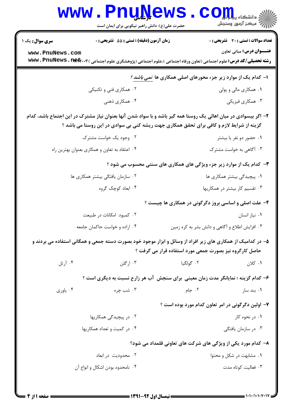| الله دانشگاه پیام در استفاده بالا<br>الله عرض آزمون وسنجش<br><b>تعداد سوالات : تستی : 30 ٪ تشریحی : 0</b><br><b>عنـــوان درس:</b> مبانی تعاون<br><b>رشته تحصیلی/کد درس:</b> علوم اجتماعی (تعاون ورفاه اجتماعی )،علوم اجتماعی (پژوهشگری علوم اجتماعی ) <b>www . PnuNews . net</b> r<br>ا- کدام یک از موارد زیر جزء محورهای اصلی همکاری ها <i>نمی باشد ؟</i><br>۰۱ همکاری مالی و پولی<br>۰۳ همکاری فیزیکی<br>۲– اگر بیسوادی در میان اهالی یک روستا همه گیر باشد و با سواد شدن آنها بعنوان نیاز مشترک در این اجتماع باشد، کدام<br>گزینه از شرایط لازم و کافی برای تحقق همکاری جهت ریشه کنی بی سوادی در این روستا می باشد ؟ | حضرت علی(ع): دانش راهبر نیکویی برای ایمان است<br><b>زمان آزمون (دقیقه) : تستی : 55 تشریحی : 0</b><br>۰۲ همکاری فنی و تکنیکی<br>۰۴ همکاری ذهنی | <b>سری سوال :</b> یک ۱<br>www.PnuNews.com |
|-------------------------------------------------------------------------------------------------------------------------------------------------------------------------------------------------------------------------------------------------------------------------------------------------------------------------------------------------------------------------------------------------------------------------------------------------------------------------------------------------------------------------------------------------------------------------------------------------------------------------|-----------------------------------------------------------------------------------------------------------------------------------------------|-------------------------------------------|
|                                                                                                                                                                                                                                                                                                                                                                                                                                                                                                                                                                                                                         |                                                                                                                                               |                                           |
|                                                                                                                                                                                                                                                                                                                                                                                                                                                                                                                                                                                                                         |                                                                                                                                               |                                           |
|                                                                                                                                                                                                                                                                                                                                                                                                                                                                                                                                                                                                                         |                                                                                                                                               |                                           |
|                                                                                                                                                                                                                                                                                                                                                                                                                                                                                                                                                                                                                         |                                                                                                                                               |                                           |
|                                                                                                                                                                                                                                                                                                                                                                                                                                                                                                                                                                                                                         |                                                                                                                                               |                                           |
|                                                                                                                                                                                                                                                                                                                                                                                                                                                                                                                                                                                                                         |                                                                                                                                               |                                           |
| ۰۱ حضور دو نفر یا بیشتر                                                                                                                                                                                                                                                                                                                                                                                                                                                                                                                                                                                                 | ۰۲ وجود یک خواست مشترک                                                                                                                        |                                           |
| ۰۳ آگاهی به خواست مشترک                                                                                                                                                                                                                                                                                                                                                                                                                                                                                                                                                                                                 | ۰۴ اعتقاد به تعاون و همکاری بعنوان بهترین راه                                                                                                 |                                           |
| ۳- کدام یک از موارد زیر جزء ویژگی های همکاری های سنتی محسوب می شود ؟                                                                                                                                                                                                                                                                                                                                                                                                                                                                                                                                                    |                                                                                                                                               |                                           |
| ۰۱ پیچیدگی بیشتر همکاری ها                                                                                                                                                                                                                                                                                                                                                                                                                                                                                                                                                                                              | ۰۲ سازمان یافتگی بیشتر همکاری ها                                                                                                              |                                           |
| ۰۳ تقسیم کار بیشتر در همکاریها                                                                                                                                                                                                                                                                                                                                                                                                                                                                                                                                                                                          | ۰۴ ابعاد کوچک گروه                                                                                                                            |                                           |
| ۴- علت اصلی و اساسی بروز دگرگونی در همکاری ها چیست ؟                                                                                                                                                                                                                                                                                                                                                                                                                                                                                                                                                                    |                                                                                                                                               |                                           |
| ۰۱ نیاز انسان                                                                                                                                                                                                                                                                                                                                                                                                                                                                                                                                                                                                           | ۰۲ کمبود امکانات در طبیعت                                                                                                                     |                                           |
| ۰۳ افزایش اطلاع و آگاهی و دانش بشر به کره زمین                                                                                                                                                                                                                                                                                                                                                                                                                                                                                                                                                                          | ۰۴ اراده و خواست حاکمان جامعه                                                                                                                 |                                           |
| ۵– در کدامیک از همکاری های زیر افراد از وسائل و ابزار موجود خود بصورت دسته جمعی و همگانی استفاده می بردند و<br>حاصل کارگروه نیز بصورت جمعی مورد استفاده قرار می گرفت ؟                                                                                                                                                                                                                                                                                                                                                                                                                                                  |                                                                                                                                               |                                           |
| ۰۲ گولگيا<br>۰۱ کلان                                                                                                                                                                                                                                                                                                                                                                                                                                                                                                                                                                                                    | ۰۳ ارگلن                                                                                                                                      | ۰۴ آرتل                                   |
| ۶- کدام گزینه ؛ نمایانگر مدت زمان معینی برای سنجش آب هر زارع نسبت به دیگری است ؟                                                                                                                                                                                                                                                                                                                                                                                                                                                                                                                                        |                                                                                                                                               |                                           |
| ۰۲ جام<br>۰۱ بند سار                                                                                                                                                                                                                                                                                                                                                                                                                                                                                                                                                                                                    | ۰۳ شب چره                                                                                                                                     | ۰۴ ياوري                                  |
| ۷- اولین دگرگونی در امر تعاون کدام مورد بوده است ؟                                                                                                                                                                                                                                                                                                                                                                                                                                                                                                                                                                      |                                                                                                                                               |                                           |
| ۰۱ در نحوه کار                                                                                                                                                                                                                                                                                                                                                                                                                                                                                                                                                                                                          | ۰۲ در پیچیدگی همکاریها                                                                                                                        |                                           |
| ۰۳ در سازمان یافتگی                                                                                                                                                                                                                                                                                                                                                                                                                                                                                                                                                                                                     | ۰۴ در کمیت و تعداد همکاریها                                                                                                                   |                                           |
| ۸– کدام مورد یکی از ویژگی های شرکت های تعاونی قلمداد می شود؟                                                                                                                                                                                                                                                                                                                                                                                                                                                                                                                                                            |                                                                                                                                               |                                           |
| ۰۱ مشابهت در شکل و محتوا                                                                                                                                                                                                                                                                                                                                                                                                                                                                                                                                                                                                | ۰۲ محدودیت در ابعاد                                                                                                                           |                                           |
| ۰۳ فعالیت کوتاه مدت                                                                                                                                                                                                                                                                                                                                                                                                                                                                                                                                                                                                     | ۰۴ نامحدود بودن اشکال و انواع آن                                                                                                              |                                           |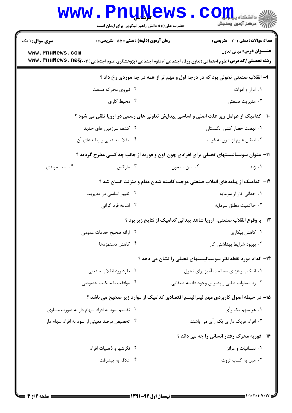|                                                                                        | <b>www.PnuNews</b>                                                                                                                |                                                                               | الله دانشگاه پیام ایران<br>الله عرکز آزمون وسنجش |  |
|----------------------------------------------------------------------------------------|-----------------------------------------------------------------------------------------------------------------------------------|-------------------------------------------------------------------------------|--------------------------------------------------|--|
|                                                                                        | حضرت علی(ع): دانش راهبر نیکویی برای ایمان است                                                                                     |                                                                               |                                                  |  |
| <b>سری سوال : ۱ یک</b>                                                                 | زمان آزمون (دقیقه) : تستی : 55 آتشریحی : 0                                                                                        |                                                                               | <b>تعداد سوالات : تستي : 30 - تشريحي : 0</b>     |  |
| www.PnuNews.com                                                                        | <b>رشته تحصیلی/کد درس:</b> علوم اجتماعی (تعاون ورفاه اجتماعی )،علوم اجتماعی (پژوهشگری علوم اجتماعی ) <b>www . PnuNews . net</b> r |                                                                               | <b>عنـــوان درس:</b> مبانی تعاون                 |  |
|                                                                                        |                                                                                                                                   | ۹- انقلاب صنعتی تحولی بود که در درجه اول و مهم تر از همه در چه موردی رخ داد ؟ |                                                  |  |
|                                                                                        | ۰۲ نیروی محرکه صنعت                                                                                                               |                                                                               | ٠١ ابزار و ادوات                                 |  |
|                                                                                        | ۰۴ محیط کاری                                                                                                                      |                                                                               | ۰۳ مدیریت صنعتی                                  |  |
| ∙۱- کدامیک از عوامل زیر علت اصلی و اساسی پیدایش تعاونی های رسمی در اروپا تلقی می شود ؟ |                                                                                                                                   |                                                                               |                                                  |  |
|                                                                                        | ۰۲ کشف سرزمین های جدید                                                                                                            |                                                                               | ٠١. نهضت حصار كشي انگلستان                       |  |
|                                                                                        | ۰۴ انقلاب صنعتی و پیامدهای آن                                                                                                     |                                                                               | ۰۳ انتقال علوم از شرق به غرب                     |  |
|                                                                                        | ۱۱- عنوان سوسیالیستهای تخیلی برای افرادی چون آون و فوریه از جانب چه کسی مطرح گردید ؟                                              |                                                                               |                                                  |  |
| ۰۴ سیسموندی                                                                            | ۰۳ مارکس                                                                                                                          | ۰۲ سن سیمون                                                                   | ۰۱ ژید                                           |  |
| ۱۲– کدامیک از پیامدهای انقلاب صنعتی موجب کاسته شدن مقام و منزلت انسان شد ؟             |                                                                                                                                   |                                                                               |                                                  |  |
|                                                                                        | ۰۲ تغییر اساسی در مدیریت                                                                                                          |                                                                               | ۰۱ جدائی کار از سرمایه                           |  |
|                                                                                        | ۰۴ اشاعه فرد گرائی                                                                                                                |                                                                               | ۰۳ حاكميت مطلق سرمايه                            |  |
|                                                                                        |                                                                                                                                   | ۱۳- با وقوع انقلاب صنعتی،  اروپا شاهد پیدائی کدامیک از نتایج زیر بود ؟        |                                                  |  |
|                                                                                        | ۰۲ ارائه صحیح خدمات عمومی                                                                                                         |                                                                               | ۰۱ کاهش بیکاری                                   |  |
|                                                                                        | ۰۴ کاهش دستمزدها                                                                                                                  |                                                                               | ۰۳ بهبود شرایط بهداشتی کار                       |  |
|                                                                                        |                                                                                                                                   | ۱۴- کدام مورد نقطه نظر سوسیالیستهای تخیلی را نشان می دهد ؟                    |                                                  |  |
|                                                                                        | ۰۲ طرد ورد انقلاب صنعتي                                                                                                           |                                                                               | ٠١ انتخاب راههاي مسالمت آميز براي تحول           |  |
|                                                                                        | ۰۴ موافقت با مالکیت خصوصی                                                                                                         | ۰۳ رد مساوات طلبی و پذیرش وجود فاصله طبقاتی                                   |                                                  |  |
| ۱۵– در حیطه اصول کاربردی مهم لیبرالیسم اقتصادی کدامیک از موارد زیر صحیح می باشد ؟      |                                                                                                                                   |                                                                               |                                                  |  |
|                                                                                        | ۰۲ تقسیم سود به افراد سهام دار به صورت مساوی                                                                                      |                                                                               | ۰۱ هر سهم یک رأی                                 |  |
|                                                                                        | ۰۴ تخصیص درصد معینی از سود به افراد سهام دار                                                                                      |                                                                               | ۰۳ افراد هریک دارای یک رأی می باشند              |  |
|                                                                                        |                                                                                                                                   |                                                                               | ۱۶- فوریه محرک رفتار انسانی را چه می داند ؟      |  |
|                                                                                        | ۰۲ نگرشها و ذهنیات افراد                                                                                                          |                                                                               | ۰۱ نفسانیات و غرائز                              |  |
|                                                                                        | ۰۴ علاقه به پیشرفت                                                                                                                |                                                                               | ۰۳ میل به کسب ثروت                               |  |
|                                                                                        |                                                                                                                                   |                                                                               |                                                  |  |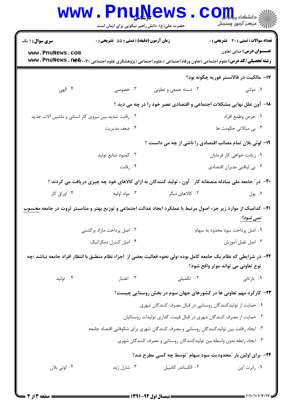|                                                                                                                                                           | <b>www.PnuNews</b><br>حضرت علی(ع): دانش راهبر نیکویی برای ایمان است |                                                                                       | أآآه مرکز آزمون وسنجش                                                                                                                                                 |  |  |
|-----------------------------------------------------------------------------------------------------------------------------------------------------------|---------------------------------------------------------------------|---------------------------------------------------------------------------------------|-----------------------------------------------------------------------------------------------------------------------------------------------------------------------|--|--|
| <b>سری سوال : ۱ یک</b>                                                                                                                                    | <b>زمان آزمون (دقیقه) : تستی : 55 تشریحی : 0</b>                    |                                                                                       | <b>تعداد سوالات : تستی : 30 ٪ تشریحی : 0</b>                                                                                                                          |  |  |
| www.PnuNews.com                                                                                                                                           |                                                                     |                                                                                       | <b>عنـــوان درس:</b> مبانی تعاون<br><b>رشته تحصیلی/کد درس:</b> علوم اجتماعی (تعاون ورفاه اجتماعی )،علوم اجتماعی (پژوهشگری علوم اجتماعی ) <b>www . PnuNews . net</b> y |  |  |
|                                                                                                                                                           |                                                                     |                                                                                       | 17- مالکیت در فالانستر فوریه چگونه بود؟                                                                                                                               |  |  |
| ۴. الهي                                                                                                                                                   | ۰۳ خصوصی                                                            | ۰۲ دسته جمعی و تعاونی                                                                 | ۰۱ دولتی                                                                                                                                                              |  |  |
| 18- آون علل نهایی مشکلات اجتماعی و اقتصادی عصر خود را در چه می دید ؟                                                                                      |                                                                     |                                                                                       |                                                                                                                                                                       |  |  |
| ۰۲ رقابت شدید بین نیروی کار انسانی و ماشین آلات جدید                                                                                                      |                                                                     |                                                                                       | ٠١ حرص وطمع افراد                                                                                                                                                     |  |  |
|                                                                                                                                                           | ۰۴ ضعف مديريت                                                       |                                                                                       | ۰۳ بی مبالاتی حکومت ها                                                                                                                                                |  |  |
| ۱۹- لوئی بلان تمام مصائب اقتصادی را ناشی از چه می دانست ؟                                                                                                 |                                                                     |                                                                                       |                                                                                                                                                                       |  |  |
|                                                                                                                                                           | ۰۲ کمبود منابع تولید                                                |                                                                                       | ٠١ زيادت خواهي كار فرمايان                                                                                                                                            |  |  |
|                                                                                                                                                           | ۰۴ رقابت                                                            |                                                                                       | ۰۳ بی لیاقتی مدیران اقتصادی                                                                                                                                           |  |  |
| +۲- در ؒ جامعه ملی مبادله منصفانه کار ؒ آون ، تولید کنندگان به ازای کالاهای خود چه چیزی دریافت می کردند ؟                                                 |                                                                     |                                                                                       |                                                                                                                                                                       |  |  |
| ۰۴ اوراق کار                                                                                                                                              | ۰۳ مواد اوليه                                                       | ۰۲ کالاهای دیگر                                                                       | ۰۱ پول                                                                                                                                                                |  |  |
| <b>۲۱</b> - کدامیک از موارد زیر جزء اصول مرتبط با عملکرد ایجاد عدالت اجتماعی و توزیع بهتر و مناسبتر ثروت در جامعه <u>محسوب</u><br>نمی شود؟                |                                                                     |                                                                                       |                                                                                                                                                                       |  |  |
| ۰۲ اصل پرداخت مازاد برگشتی                                                                                                                                |                                                                     | ٠١ اصل پرداخت سود محدود به سهام                                                       |                                                                                                                                                                       |  |  |
|                                                                                                                                                           | ۰۴ اصل کنترل دمکراتیک                                               |                                                                                       | ۰۳ اصل تقبل آموزش                                                                                                                                                     |  |  |
| ۲۲– در شرایطی که نظام یک جامعه کامل بوده ؛ولی نحوه فعالیت بعضی از  اجزاء نظام منطبق با انتظار افراد جامعه نباشد ؛چه<br>نوع تعاونی می تواند موثر واقع شود؟ |                                                                     |                                                                                       |                                                                                                                                                                       |  |  |
| ۰۴ تولید                                                                                                                                                  | ۰۳ اعتبار                                                           | ۰۲ تکمیلی                                                                             | ۰۱ بازتابی                                                                                                                                                            |  |  |
|                                                                                                                                                           |                                                                     |                                                                                       | ۲۳- کارکرد مهم تعاونی ها در کشورهای جهان سوم در بخش روستایی چیست؟                                                                                                     |  |  |
|                                                                                                                                                           | ۰۱ حمایت از تولیدکنندگان روستایی در قبال مصرف کنندگان شهری          |                                                                                       |                                                                                                                                                                       |  |  |
|                                                                                                                                                           |                                                                     | ۰۲ حمایت از مصرف کنندگان شهری در قبال قیمت گذاری تولیدات روستائیان                    |                                                                                                                                                                       |  |  |
|                                                                                                                                                           |                                                                     | ۰۳ ایجاد رقابت بین تولیدکنندگان روستایی و مصرف کنندگان شهری برای شکوفایی اقتصاد جامعه |                                                                                                                                                                       |  |  |
|                                                                                                                                                           |                                                                     | ۰۴ ایجاد رابطه بدون واسطه بین تولیدکنندگان روستایی و مصرف کنندگان شهری                |                                                                                                                                                                       |  |  |
|                                                                                                                                                           |                                                                     |                                                                                       | ۲۴- برای اولین بار "محدودیت سود سهام "توسط چه کسی مطرح شد؟                                                                                                            |  |  |
| ۰۴ لوئي بلان                                                                                                                                              | ۰۳ شارل ژید                                                         | ۰۲ الکساندر کامپیل                                                                    | ۰۱ رابرت آون                                                                                                                                                          |  |  |
|                                                                                                                                                           |                                                                     |                                                                                       |                                                                                                                                                                       |  |  |

 $=$  1+1+/1+1+7+1